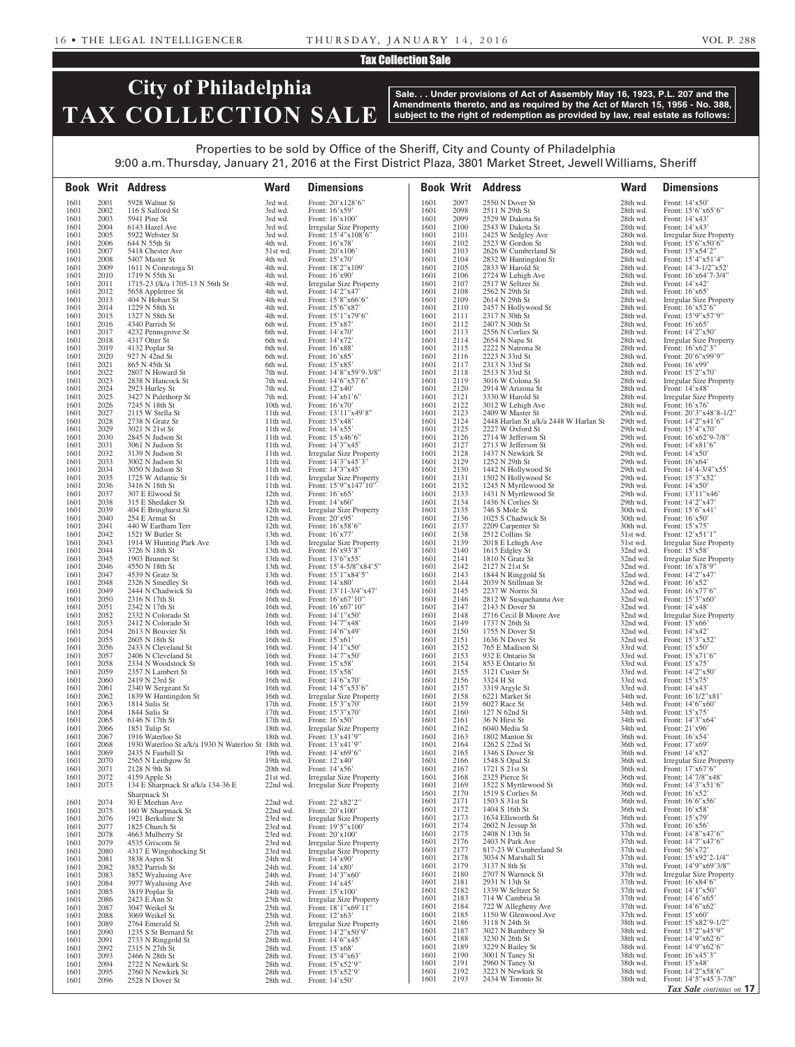#### Tax Collection Sale

# **City of Philadelphia TAX COLLECTION SALE**

**Sale. . . Under provisions of Act of Assembly May 16, 1923, P.L. 207 and the Amendments thereto, and as required by the Act of March 15, 1956 - No. 388, subject to the right of redemption as provided by law, real estate as follows:**

## Properties to be sold by Office of the Sheriff, City and County of Philadelphia 9:00 a.m. Thursday, January 21, 2016 at the First District Plaza, 3801 Market Street, Jewell Williams, Sheriff

|              |              | <b>Book Writ Address</b>                                               | <b>Ward</b>          | <b>Dimensions</b>                                          |              |              | <b>Book Writ Address</b>                     | <b>Ward</b>          | <b>Dimensions</b>                                           |
|--------------|--------------|------------------------------------------------------------------------|----------------------|------------------------------------------------------------|--------------|--------------|----------------------------------------------|----------------------|-------------------------------------------------------------|
| 1601         | 2001         | 5928 Walnut St                                                         | 3rd wd.              | Front: 20'x128'6"                                          | 1601         | 2097         | 2550 N Dover St                              | 28th wd.             | Front: 14'x50'                                              |
| 1601         | 2002<br>2003 | 116 S Salford St<br>5941 Pine St                                       | 3rd wd.              | Front: 16'x59'                                             | 1601         | 2098         | 2511 N 29th St                               | 28th wd.             | Front: 15'6"x65'6"                                          |
| 1601<br>1601 | 2004         | 6143 Hazel Ave                                                         | 3rd wd.<br>3rd wd.   | Front: 16'x100'<br><b>Irregular Size Property</b>          | 1601<br>1601 | 2099<br>2100 | 2529 W Dakota St<br>2543 W Dakota St         | 28th wd.<br>28th wd. | Front: $14'x43'$<br>Front: 14'x43'                          |
| 1601         | 2005         | 5922 Webster St                                                        | 3rd wd.              | Front: 15'4"x108'6"                                        | 1601         | 2101         | 2425 W Sedgley Ave                           | 28th wd.             | <b>Irregular Size Property</b>                              |
| 1601         | 2006         | 644 N 55th St                                                          | 4th wd.              | Front: 16'x78'                                             | 1601         | 2102         | 2523 W Gordon St                             | 28th wd.             | Front: 15'6"x50'6"                                          |
| 1601<br>1601 | 2007<br>2008 | 5418 Chester Ave<br>5407 Master St                                     | 51st wd.<br>4th wd.  | Front: 20'x106'<br>Front: 15'x70'                          | 1601<br>1601 | 2103<br>2104 | 2626 W Cumberland St<br>2832 W Huntingdon St | 28th wd.<br>28th wd. | Front: 15'x54'2"<br>Front: 15'4"x51'4"                      |
| 1601         | 2009         | 1611 N Conestoga St                                                    | 4th wd.              | Front: 18'2"x109'                                          | 1601         | 2105         | 2833 W Harold St                             | 28th wd.             | Front: $14'3-1/2''x52'$                                     |
| 1601         | 2010         | 1719 N 55th St                                                         | 4th wd.              | Front: 16'x90'                                             | 1601         | 2106         | 2724 W Lehigh Ave                            | 28th wd.             | Front: 16'x64'7-3/4"                                        |
| 1601         | 2011         | 1715-23 f/k/a 1705-13 N 56th St                                        | 4th wd.              | <b>Irregular Size Property</b>                             | 1601         | 2107         | 2517 W Seltzer St                            | 28th wd.             | Front: $14'x42'$                                            |
| 1601<br>1601 | 2012<br>2013 | 5658 Appletree St<br>404 N Hobart St                                   | 4th wd.<br>4th wd.   | Front: 14'2"x47'<br>Front: 15'8"x66'6"                     | 1601<br>1601 | 2108<br>2109 | 2562 N 29th St<br>2614 N 29th St             | 28th wd.<br>28th wd. | Front: $16'x65'$<br><b>Irregular Size Property</b>          |
| 1601         | 2014         | 1229 N 58th St                                                         | 4th wd.              | Front: 15'6"x87'                                           | 1601         | 2110         | 2457 N Hollywood St                          | 28th wd.             | Front: 16'x52'6"                                            |
| 1601         | 2015         | 1327 N 58th St                                                         | 4th wd.              | Front: 15'1"x79'6"                                         | 1601         | 2111         | 2317 N 30th St                               | 28th wd.             | Front: 15'9"x57'9"                                          |
| 1601         | 2016         | 4340 Parrish St                                                        | 6th wd.              | Front: 15'x87'                                             | 1601         | 2112         | 2407 N 30th St                               | 28th wd.             | Front: $16'x65'$                                            |
| 1601<br>1601 | 2017<br>2018 | 4232 Pennsgrove St<br>4317 Otter St                                    | 6th wd.<br>6th wd.   | Front: 14'x70'<br>Front: 14'x72'                           | 1601<br>1601 | 2113<br>2114 | 2556 N Corlies St<br>2654 N Napa St          | 28th wd.<br>28th wd. | Front: 14'2"x50'<br><b>Irregular Size Property</b>          |
| 1601         | 2019         | 4132 Poplar St                                                         | 6th wd.              | Front: 16'x88'                                             | 1601         | 2115         | 2222 N Natrona St                            | 28th wd.             | Front: 16'x62'3"                                            |
| 1601         | 2020         | 927 N 42nd St                                                          | 6th wd.              | Front: 16'x85'                                             | 1601         | 2116         | 2223 N 33rd St                               | 28th wd.             | Front: 20'6"x99'9"                                          |
| 1601<br>1601 | 2021<br>2022 | 865 N 45th St<br>2807 N Howard St                                      | 6th wd.<br>7th wd.   | Front: 15'x85'<br>Front: 14'8"x59'9-3/8"                   | 1601<br>1601 | 2117<br>2118 | 2313 N 33rd St<br>2513 N 33rd St             | 28th wd.<br>28th wd. | Front: 16'x99'<br>Front: 15'2"x70'                          |
| 1601         | 2023         | 2838 N Hancock St                                                      | 7th wd.              | Front: 14'6"x57'6"                                         | 1601         | 2119         | 3016 W Colona St                             | 28th wd.             | <b>Irregular Size Property</b>                              |
| 1601         | 2024         | 2923 Hurley St                                                         | 7th wd.              | Front: 12'x40'                                             | 1601         | 2120         | 2914 W Arizona St                            | 28th wd.             | Front: 14'x48'                                              |
| 1601         | 2025<br>2026 | 3427 N Palethorp St                                                    | 7th wd.<br>10th wd.  | Front: 14'x61'6"                                           | 1601<br>1601 | 2121<br>2122 | 3330 W Harold St<br>3012 W Lehigh Ave        | 28th wd.<br>28th wd. | <b>Irregular Size Property</b><br>Front: 16'x76'            |
| 1601<br>1601 | 2027         | 7245 N 18th St<br>2115 W Stella St                                     | 11th wd.             | Front: 16'x70'<br>Front: 13'11"x49'8"                      | 1601         | 2123         | 2409 W Master St                             | 29th wd.             | Front: 20'3"x48'8-1/2"                                      |
| 1601         | 2028         | 2738 N Gratz St                                                        | 11th wd.             | Front: 15'x48'                                             | 1601         | 2124         | 2448 Harlan St a/k/a 2448 W Harlan St        | 29th wd.             | Front: 14'2"x41'6"                                          |
| 1601         | 2029         | 3021 N 21st St                                                         | 11th wd.             | Front: 14'x55'                                             | 1601         | 2125         | 2227 W Oxford St                             | 29th wd.             | Front: 15'4"x70'                                            |
| 1601<br>1601 | 2030<br>2031 | 2845 N Judson St<br>3061 N Judson St                                   | 11th wd.<br>11th wd. | Front: 15'x46'6"<br>Front: 14'3"x45'                       | 1601<br>1601 | 2126<br>2127 | 2714 W Jefferson St<br>2713 W Jefferson St   | 29th wd.<br>29th wd. | Front: 16'x62'9-7/8"<br>Front: 14'x81'6"                    |
| 1601         | 2032         | 3139 N Judson St                                                       | 11th wd.             | <b>Irregular Size Property</b>                             | 1601         | 2128         | 1437 N Newkirk St                            | 29th wd.             | Front: 14'x50'                                              |
| 1601         | 2033         | 3002 N Judson St                                                       | 11th wd.             | Front: 14'3"x45'3"                                         | 1601         | 2129         | 1252 N 29th St                               | 29th wd.             | Front: $16'x64'$                                            |
| 1601<br>1601 | 2034<br>2035 | 3050 N Judson St<br>1725 W Atlantic St                                 | 11th wd.             | Front: 14'3"x45'                                           | 1601<br>1601 | 2130<br>2131 | 1442 N Hollywood St<br>1502 N Hollywood St   | 29th wd.<br>29th wd. | Front: $14'4-3/4''x55'$<br>Front: 15'3"x52'                 |
| 1601         | 2036         | 3416 N 18th St                                                         | 11th wd.<br>11th wd. | <b>Irregular Size Property</b><br>Front: $15'9''x147'10''$ | 1601         | 2132         | 1245 N Myrtlewood St                         | 29th wd.             | Front: 14'x50'                                              |
| 1601         | 2037         | 307 E Elwood St                                                        | 12th wd.             | Front: 16'x65'                                             | 1601         | 2133         | 1431 N Myrtlewood St                         | 29th wd.             | Front: 13'11"x46'                                           |
| 1601         | 2038         | 315 E Shedaker St                                                      | 12th wd.             | Front: 14'x60'                                             | 1601         | 2134         | 1436 N Corlies St                            | 29th wd.             | Front: 14'2"x47'                                            |
| 1601<br>1601 | 2039<br>2040 | 404 E Bringhurst St<br>254 E Armat St                                  | 12th wd.<br>12th wd. | Irregular Size Property<br>Front: 20'x95'                  | 1601<br>1601 | 2135<br>2136 | 746 S Mole St<br>1025 S Chadwick St          | 30th wd.<br>30th wd. | Front: $15^{\circ}6^{\circ}x41^{\circ}$<br>Front: $16'x50'$ |
| 1601         | 2041         | 440 W Earlham Terr                                                     | 12th wd.             | Front: 16'x58'6"                                           | 1601         | 2137         | 2209 Carpenter St                            | 30th wd.             | Front: 15'x75'                                              |
| 1601         | 2042         | 1521 W Butler St                                                       | 13th wd.             | Front: 16'x77'                                             | 1601         | 2138         | 2512 Collins St                              | 31st wd.             | Front: 12'x51'1"                                            |
| 1601<br>1601 | 2043<br>2044 | 1914 W Hunting Park Ave<br>3726 N 18th St                              | 13th wd.<br>13th wd. | Irregular Size Property<br>Front: 16'x93'8"                | 1601<br>1601 | 2139<br>2140 | 2018 E Lehigh Ave<br>1615 Edgley St          | 31st wd.<br>32nd wd. | <b>Irregular Size Property</b><br>Front: 15'x58'            |
| 1601         | 2045         | 1903 Brunner St                                                        | 13th wd.             | Front: 13'6"x55'                                           | 1601         | 2141         | 1810 N Gratz St                              | 32nd wd.             | <b>Irregular Size Property</b>                              |
| 1601         | 2046         | 4550 N 18th St                                                         | 13th wd.             | Front: 15'4-5/8"x84'5"                                     | 1601         | 2142         | 2127 N 21st St                               | 32nd wd.             | Front: 16'x78'9"                                            |
| 1601<br>1601 | 2047<br>2048 | 4539 N Gratz St<br>2326 N Smedley St                                   | 13th wd.<br>16th wd. | Front: 15'1"x84'5"<br>Front: 14'x80'                       | 1601<br>1601 | 2143<br>2144 | 1844 N Ringgold St<br>2039 N Stillman St     | 32nd wd.<br>32nd wd. | Front: 14'2"x47'<br>Front: 16'x52'                          |
| 1601         | 2049         | 2444 N Chadwick St                                                     | 16th wd.             | Front: 13'11-3/4"x47"                                      | 1601         | 2145         | 2237 W Norris St                             | 32nd wd.             | Front: 16'x77'6"                                            |
| 1601         | 2050         | 2316 N 17th St                                                         | 16th wd.             | Front: 16'x67'10"                                          | 1601         | 2146         | 2812 W Susquehanna Ave                       | 32nd wd.             | Front: 15'3"x60"                                            |
| 1601<br>1601 | 2051<br>2052 | 2342 N 17th St<br>2332 N Colorado St                                   | 16th wd.<br>16th wd. | Front: $16'x67'10''$<br>Front: 14'1"x50'                   | 1601<br>1601 | 2147<br>2148 | 2143 N Dover St<br>2716 Cecil B Moore Ave    | 32nd wd.<br>32nd wd. | Front: 14'x48'<br><b>Irregular Size Property</b>            |
| 1601         | 2053         | 2412 N Colorado St                                                     | 16th wd.             | Front: 14'7"x48'                                           | 1601         | 2149         | 1737 N 26th St                               | 32nd wd.             | Front: 15'x66'                                              |
| 1601         | 2054         | 2613 N Bouvier St                                                      | 16th wd.             | Front: 14'6"x49'                                           | 1601         | 2150         | 1755 N Dover St                              | 32nd wd.             | Front: 14'x42'                                              |
| 1601<br>1601 | 2055<br>2056 | 2605 N 18th St<br>2433 N Cleveland St                                  | 16th wd.<br>16th wd. | Front: 15'x61'<br>Front: 14'1"x50'                         | 1601<br>1601 | 2151<br>2152 | 1636 N Dover St<br>765 E Madison St          | 32nd wd.<br>33rd wd. | Front: 15'3"x52'<br>Front: 15'x50'                          |
| 1601         | 2057         | 2406 N Cleveland St                                                    | 16th wd.             | Front: 14'7"x50'                                           | 1601         | 2153         | 932 E Ontario St                             | 33rd wd.             | Front: 15'x71'6"                                            |
| 1601         | 2058         | 2334 N Woodstock St                                                    | 16th wd.             | Front: 15'x58'                                             | 1601         | 2154         | 853 E Ontario St                             | 33rd wd.             | Front: 15'x75'                                              |
| 1601<br>1601 | 2059<br>2060 | 2357 N Lambert St<br>2419 N 23rd St                                    | 16th wd.<br>16th wd. | Front: 15'x58'<br>Front: 14'6"x70"                         | 1601<br>1601 | 2155<br>2156 | 3121 Custer St<br>3324 H St                  | 33rd wd.<br>33rd wd. | Front: 14'2"x50'<br>Front: 15'x75'                          |
| 1601         | 2061         | 2340 W Sergeant St                                                     | 16th wd.             | Front: 14'5"x53'6"                                         | 1601         | 2157         | 3319 Argyle St                               | 33rd wd.             | Front: $14'x43'$                                            |
| 1601         | 2062         | 1839 W Huntingdon St                                                   | 16th wd.             | Irregular Size Property                                    | 1601         | 2158         | 6221 Market St                               | 34th wd.             | Front: 16'1/2"x81'                                          |
| 1601<br>1601 | 2063<br>2064 | 1814 Sulis St<br>1844 Sulis St                                         | 17th wd.<br>17th wd. | Front: 15'3"x70'<br>Front: 15'3"x70'                       | 1601<br>1601 | 2159<br>2160 | 6027 Race St<br>127 N 62nd St                | 34th wd.<br>34th wd. | Front: 14'6"x60"<br>Front: 15'x75'                          |
| 1601         | 2065         | 6146 N 17th St                                                         | 17th wd.             | Front: 16'x50'                                             | 1601         | 2161         | 36 N Hirst St                                | 34th wd.             | Front: 14'3"x64"                                            |
| 1601         | 2066         | 1851 Tulip St                                                          | 18th wd.             | <b>Irregular Size Property</b>                             | 1601         | 2162         | 6040 Media St                                | 34th wd.             | Front: 21'x96'                                              |
| 1601<br>1601 | 2067<br>2068 | 1916 Waterloo St<br>1930 Waterloo St a/k/a 1930 N Waterloo St 18th wd. | 18th wd.             | Front: 13'x41'9"<br>Front: 13'x41'9"                       | 1601<br>1601 | 2163<br>2164 | 1802 Manton St<br>1262 S 22nd St             | 36th wd.<br>36th wd. | Front: 16'x54'<br>Front: 17'x69'                            |
| 1601         | 2069         | 2435 N Fairhill St                                                     | 19th wd.             | Front: 14'x69'6"                                           | 1601         | 2165         | 1346 S Dover St                              | 36th wd.             | Front: 14'x52'                                              |
| 1601         | 2070         | 2565 N Leithgow St                                                     | 19th wd.             | Front: 12'x40'                                             | 1601         | 2166         | 1548 S Opal St                               | 36th wd.             | <b>Irregular Size Property</b>                              |
| 1601<br>1601 | 2071<br>2072 | 2128 N 9th St<br>4159 Apple St                                         | 20th wd.<br>21st wd. | Front: 14'x56'<br><b>Irregular Size Property</b>           | 1601<br>1601 | 2167<br>2168 | 1721 S 21st St<br>2325 Pierce St             | 36th wd.<br>36th wd. | Front: 17'x67'6"<br>Front: 14'7/8"x48'                      |
| 1601         | 2073         | 134 E Sharpnack St a/k/a 134-36 E                                      | 22nd wd.             | <b>Irregular Size Property</b>                             | 1601         | 2169         | 1522 S Myrtlewood St                         | 36th wd.             | Front: 14'3"x51'6"                                          |
|              |              | Sharpnack St                                                           |                      |                                                            | 1601         | 2170         | 1519 S Corlies St                            | 36th wd.             | Front: 16'x52'                                              |
| 1601         | 2074         | 30 E Meehan Ave                                                        | 22nd wd.             | Front: 22'x82'2"                                           | 1601<br>1601 | 2171<br>2172 | 1503 S 31st St<br>1404 S 16th St             | 36th wd.<br>36th wd. | Front: $16'6''x56'$                                         |
| 1601<br>1601 | 2075<br>2076 | 160 W Sharpnack St<br>1921 Berkshire St                                | 22nd wd.<br>23rd wd. | Front: 20'x100'<br>Irregular Size Property                 | 1601         | 2173         | 1634 Ellsworth St                            | 36th wd.             | Front: 16'x58'<br>Front: 15'x79'                            |
| 1601         | 2077         | 1825 Church St                                                         | 23rd wd.             | Front: 19'5"x100'                                          | 1601         | 2174         | 2602 N Jessup St                             | 37th wd.             | Front: 16'x56'                                              |
| 1601         | 2078         | 4663 Mulberry St                                                       | 23rd wd.             | Front: 20'x100'                                            | 1601         | 2175<br>2176 | 2408 N 13th St                               | 37th wd.             | Front: 14'8"x47'6"<br>Front: 14'7"x47'6"                    |
| 1601<br>1601 | 2079<br>2080 | 4535 Griscom St<br>4317 E Wingohocking St                              | 23rd wd.<br>23rd wd. | Irregular Size Property<br><b>Irregular Size Property</b>  | 1601<br>1601 | 2177         | 2403 N Park Ave<br>817-23 W Cumberland St    | 37th wd.<br>37th wd. | Front: 56'x72'                                              |
| 1601         | 2081         | 3838 Aspen St                                                          | 24th wd.             | Front: 14'x90'                                             | 1601         | 2178         | 3034 N Marshall St                           | 37th wd.             | Front: 15'x92'2-1/4"                                        |
| 1601         | 2082         | 3852 Parrish St                                                        | 24th wd.             | Front: 14'x80'                                             | 1601         | 2179         | 3137 N 8th St                                | 37th wd.             | Front: 14'9"x69'3/8"                                        |
| 1601<br>1601 | 2083<br>2084 | 3852 Wyalusing Ave<br>3977 Wyalusing Ave                               | 24th wd.<br>24th wd. | Front: 14'3"x60'<br>Front: 14'x45'                         | 1601<br>1601 | 2180<br>2181 | 2707 N Warnock St<br>2931 N 13th St          | 37th wd.<br>37th wd. | <b>Irregular Size Property</b><br>Front: 16'x84'6"          |
| 1601         | 2085         | 3819 Poplar St                                                         | 24th wd.             | Front: 15'x100'                                            | 1601         | 2182         | 1339 W Seltzer St                            | 37th wd.             | Front: 14'1"x50'                                            |
| 1601         | 2086         | 2423 E Ann St                                                          | 25th wd.             | <b>Irregular Size Property</b>                             | 1601         | 2183         | 714 W Cambria St                             | 37th wd.             | Front: 14'6"x65"                                            |
| 1601<br>1601 | 2087<br>2088 | 3047 Weikel St<br>3069 Weikel St                                       | 25th wd.<br>25th wd. | Front: 18'1"x69'11"<br>Front: 12'x63'                      | 1601<br>1601 | 2184<br>2185 | 722 W Allegheny Ave<br>1150 W Glenwood Ave   | 37th wd.<br>37th wd. | Front: 14'6"x62'<br>Front: $15'x60'$                        |
| 1601         | 2089         | 2764 Emerald St                                                        | 25th wd.             | <b>Irregular Size Property</b>                             | 1601         | 2186         | 3118 N 24th St                               | 38th wd.             | Front: 15'x82'9-1/2"                                        |
| 1601         | 2090         | 1235 S St Bernard St                                                   | 27th wd.             | Front: 14'2"x50'9"                                         | 1601<br>1601 | 2187<br>2188 | 3027 N Bambrey St<br>3230 N 26th St          | 38th wd.<br>38th wd. | Front: 15'2"x45'9"<br>Front: 14'9"x62'6"                    |
| 1601<br>1601 | 2091<br>2092 | 2733 N Ringgold St<br>2315 N 27th St                                   | 28th wd.<br>28th wd. | Front: 14'6"x45'<br>Front: 15'x68'                         | 1601         | 2189         | 3229 N Bailey St                             | 38th wd.             | Front: 14'9"x62'6"                                          |
| 1601         | 2093         | 2466 N 28th St                                                         | 28th wd.             | Front: 15'4"x63'                                           | 1601         | 2190         | 3001 N Taney St                              | 38th wd.             | Front: 16'x45'3"                                            |
| 1601         | 2094         | 2722 N Newkirk St                                                      | 28th wd.             | Front: 15'x52'9"                                           | 1601<br>1601 | 2191<br>2192 | 2960 N Taney St<br>3223 N Newkirk St         | 38th wd.<br>38th wd. | Front: 15'x48'<br>Front: 14'2"x58'6"                        |
| 1601<br>1601 | 2095<br>2096 | 2760 N Newkirk St<br>2528 N Dover St                                   | 28th wd.<br>28th wd. | Front: 15'x52'9'<br>Front: 14'x50'                         | 1601         | 2193         | 2434 W Toronto St                            | 38th wd.             | Front: 14'5"x45'3-7/8"                                      |
|              |              |                                                                        |                      |                                                            |              |              |                                              |                      | Tax Sale continues on 17                                    |